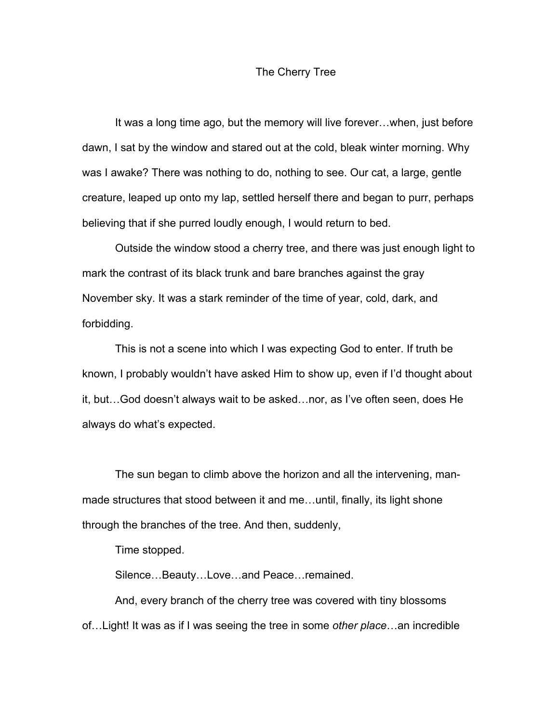## The Cherry Tree

It was a long time ago, but the memory will live forever…when, just before dawn, I sat by the window and stared out at the cold, bleak winter morning. Why was I awake? There was nothing to do, nothing to see. Our cat, a large, gentle creature, leaped up onto my lap, settled herself there and began to purr, perhaps believing that if she purred loudly enough, I would return to bed.

Outside the window stood a cherry tree, and there was just enough light to mark the contrast of its black trunk and bare branches against the gray November sky. It was a stark reminder of the time of year, cold, dark, and forbidding.

This is not a scene into which I was expecting God to enter. If truth be known, I probably wouldn't have asked Him to show up, even if I'd thought about it, but…God doesn't always wait to be asked…nor, as I've often seen, does He always do what's expected.

The sun began to climb above the horizon and all the intervening, manmade structures that stood between it and me…until, finally, its light shone through the branches of the tree. And then, suddenly,

Time stopped.

Silence…Beauty…Love…and Peace…remained.

And, every branch of the cherry tree was covered with tiny blossoms of…Light! It was as if I was seeing the tree in some *other place*…an incredible